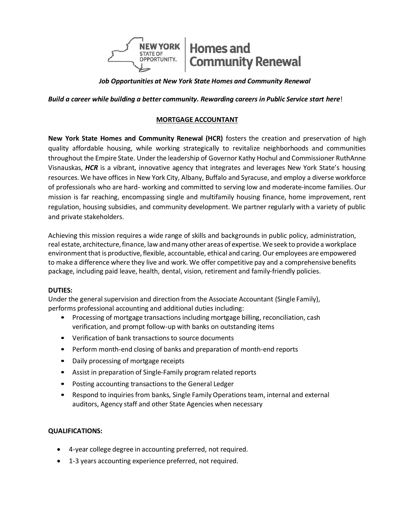

*Job Opportunities at New York State Homes and Community Renewal*

*Build a career while building a better community. Rewarding careers in Public Service start here*!

# **MORTGAGE ACCOUNTANT**

**New York State Homes and Community Renewal (HCR)** fosters the creation and preservation of high quality affordable housing, while working strategically to revitalize neighborhoods and communities throughout the Empire State. Under the leadership of Governor Kathy Hochul and Commissioner RuthAnne Visnauskas, *HCR* is a vibrant, innovative agency that integrates and leverages New York State's housing resources. We have offices in New York City, Albany, Buffalo and Syracuse, and employ a diverse workforce of professionals who are hard- working and committed to serving low and moderate-income families. Our mission is far reaching, encompassing single and multifamily housing finance, home improvement, rent regulation, housing subsidies, and community development. We partner regularly with a variety of public and private stakeholders.

Achieving this mission requires a wide range of skills and backgrounds in public policy, administration, real estate, architecture, finance, law and many other areas of expertise. We seek to provide a workplace environmentthat is productive,flexible, accountable, ethical and caring. Our employees are empowered to make a difference where they live and work. We offer competitive pay and a comprehensive benefits package, including paid leave, health, dental, vision, retirement and family-friendly policies.

## **DUTIES:**

Under the general supervision and direction from the Associate Accountant (Single Family), performs professional accounting and additional duties including:

- Processing of mortgage transactions including mortgage billing, reconciliation, cash verification, and prompt follow-up with banks on outstanding items
- Verification of bank transactions to source documents
- Perform month-end closing of banks and preparation of month-end reports
- Daily processing of mortgage receipts
- Assist in preparation of Single-Family program related reports
- Posting accounting transactions to the General Ledger
- Respond to inquiries from banks, Single Family Operations team, internal and external auditors, Agency staff and other State Agencies when necessary

# **QUALIFICATIONS:**

- 4-year college degree in accounting preferred, not required.
- 1-3 years accounting experience preferred, not required.